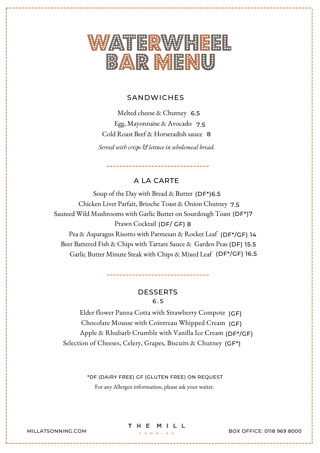

# **SANDWICHES**

Melted cheese & Chutney 6.5 Egg, Mayonnaise & Avocado 7.5 Cold Roast Beef & Horseradish sauce 8

*Served with crisps & lettuce in wholemeal bread.*

A LA CARTE

-----------------------

Soup of the Day with Bread & Butter (DF\*)6.5 Chicken Liver Parfait, Brioche Toast & Onion Chutney 7.5 Sauteed Wild Mushrooms with Garlic Butter on Sourdough Toast (DF\*)7 Prawn Cocktail (DF/ GF) 8 Pea & Asparagus Risotto with Parmesan & Rocket Leaf (DF\*/GF) 14 Beer Battered Fish & Chips with Tartare Sauce & Garden Peas (DF) 15.5 Garlic Butter Minute Steak with Chips & Mixed Leaf (DF\*/GF) 16.5

> DESSERTS 6 . 5

Elder flower Panna Cotta with Strawberry Compote (GF) Chocolate Mousse with Cointreau Whipped Cream (GF) Apple & Rhubarb Crumble with Vanilla Ice Cream (DF\*/GF) Selection of Cheeses, Celery, Grapes, Biscuits & Chutney (GF\*)

> For any Allergen information, please ask your waiter. \*DF (DAIRY FREE) GF (GLUTEN FREE) ON REQUEST

THE MILL

MILLATSONNING.COM  $\begin{array}{c} \text{S} & \text{A} & \text{B} & \text{B} & \text{B} & \text{B} \end{array}$ BOX OFFICE: 0118 969 8000